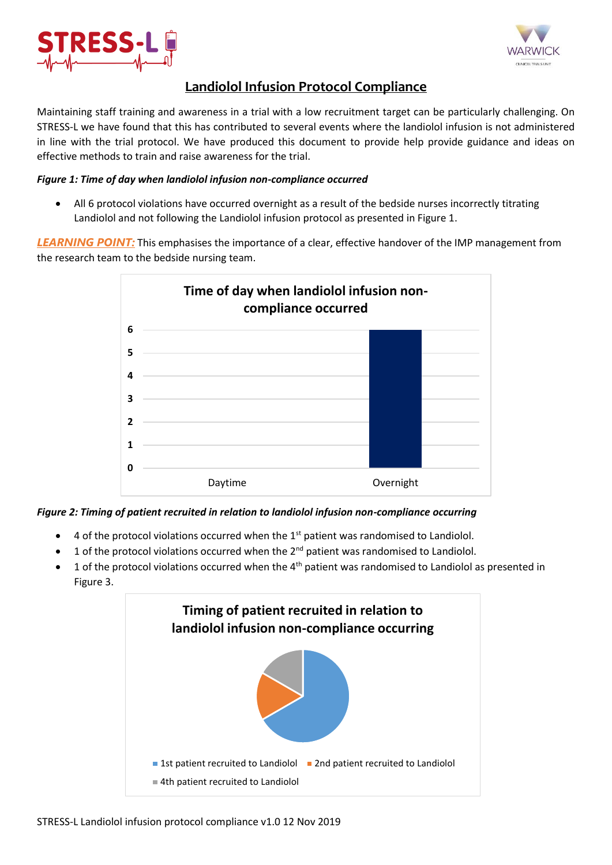



# **Landiolol Infusion Protocol Compliance**

Maintaining staff training and awareness in a trial with a low recruitment target can be particularly challenging. On STRESS-L we have found that this has contributed to several events where the landiolol infusion is not administered in line with the trial protocol. We have produced this document to provide help provide guidance and ideas on effective methods to train and raise awareness for the trial.

### *Figure 1: Time of day when landiolol infusion non-compliance occurred*

 All 6 protocol violations have occurred overnight as a result of the bedside nurses incorrectly titrating Landiolol and not following the Landiolol infusion protocol as presented in Figure 1.

*LEARNING POINT:* This emphasises the importance of a clear, effective handover of the IMP management from the research team to the bedside nursing team.



## *Figure 2: Timing of patient recruited in relation to landiolol infusion non-compliance occurring*

- $\bullet$  4 of the protocol violations occurred when the 1<sup>st</sup> patient was randomised to Landiolol.
- 1 of the protocol violations occurred when the  $2^{nd}$  patient was randomised to Landiolol.
- 1 of the protocol violations occurred when the  $4<sup>th</sup>$  patient was randomised to Landiolol as presented in Figure 3.